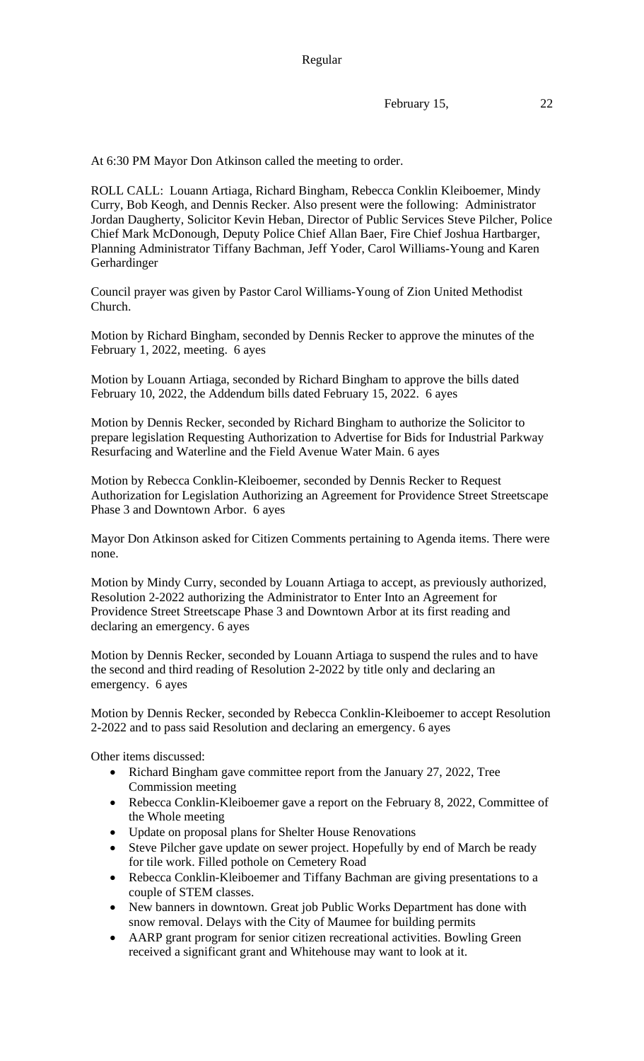February 15, 22

At 6:30 PM Mayor Don Atkinson called the meeting to order.

ROLL CALL: Louann Artiaga, Richard Bingham, Rebecca Conklin Kleiboemer, Mindy Curry, Bob Keogh, and Dennis Recker. Also present were the following: Administrator Jordan Daugherty, Solicitor Kevin Heban, Director of Public Services Steve Pilcher, Police Chief Mark McDonough, Deputy Police Chief Allan Baer, Fire Chief Joshua Hartbarger, Planning Administrator Tiffany Bachman, Jeff Yoder, Carol Williams-Young and Karen Gerhardinger

Council prayer was given by Pastor Carol Williams-Young of Zion United Methodist Church.

Motion by Richard Bingham, seconded by Dennis Recker to approve the minutes of the February 1, 2022, meeting. 6 ayes

Motion by Louann Artiaga, seconded by Richard Bingham to approve the bills dated February 10, 2022, the Addendum bills dated February 15, 2022. 6 ayes

Motion by Dennis Recker, seconded by Richard Bingham to authorize the Solicitor to prepare legislation Requesting Authorization to Advertise for Bids for Industrial Parkway Resurfacing and Waterline and the Field Avenue Water Main. 6 ayes

Motion by Rebecca Conklin-Kleiboemer, seconded by Dennis Recker to Request Authorization for Legislation Authorizing an Agreement for Providence Street Streetscape Phase 3 and Downtown Arbor. 6 ayes

Mayor Don Atkinson asked for Citizen Comments pertaining to Agenda items. There were none.

Motion by Mindy Curry, seconded by Louann Artiaga to accept, as previously authorized, Resolution 2-2022 authorizing the Administrator to Enter Into an Agreement for Providence Street Streetscape Phase 3 and Downtown Arbor at its first reading and declaring an emergency. 6 ayes

Motion by Dennis Recker, seconded by Louann Artiaga to suspend the rules and to have the second and third reading of Resolution 2-2022 by title only and declaring an emergency. 6 ayes

Motion by Dennis Recker, seconded by Rebecca Conklin-Kleiboemer to accept Resolution 2-2022 and to pass said Resolution and declaring an emergency. 6 ayes

Other items discussed:

- Richard Bingham gave committee report from the January 27, 2022, Tree Commission meeting
- Rebecca Conklin-Kleiboemer gave a report on the February 8, 2022, Committee of the Whole meeting
- Update on proposal plans for Shelter House Renovations
- Steve Pilcher gave update on sewer project. Hopefully by end of March be ready for tile work. Filled pothole on Cemetery Road
- Rebecca Conklin-Kleiboemer and Tiffany Bachman are giving presentations to a couple of STEM classes.
- New banners in downtown. Great job Public Works Department has done with snow removal. Delays with the City of Maumee for building permits
- AARP grant program for senior citizen recreational activities. Bowling Green received a significant grant and Whitehouse may want to look at it.